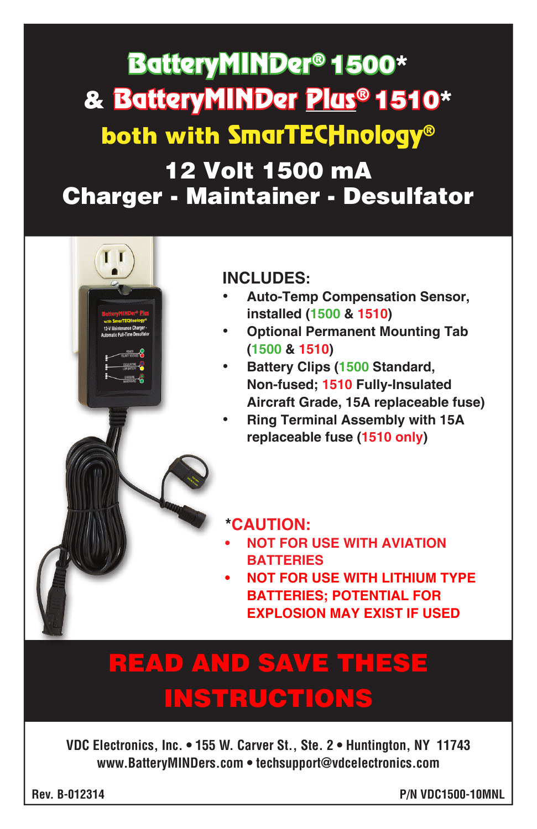# 12 Volt 1500 mA Charger - Maintainer - Desulfator BatteryMINDer® 1500\* & BatteryMINDer Plus® 1510\* both with SmarTECHnology®

# **INCLUDES:**

- **Auto-Temp Compensation Sensor, installed (1500 & 1510)**
- **Optional Permanent Mounting Tab (1500 & 1510)**
- **Battery Clips (1500 Standard, Non-fused; 1510 Fully-Insulated Aircraft Grade, 15A replaceable fuse)**
- **Ring Terminal Assembly with 15A replaceable fuse (1510 only)**

# **\*CAUTION:**

- **• NOT FOR USE WITH AVIATION BATTERIES**
- **• NOT FOR USE WITH LITHIUM TYPE BATTERIES; POTENTIAL FOR EXPLOSION MAY EXIST IF USED**

# READ AND SAVE THESE **INSTRUCTIONS**

**VDC Electronics, Inc. • 155 W. Carver St., Ste. 2 • Huntington, NY 11743 www.BatteryMINDers.com • techsupport@vdcelectronics.com**

**Rev. B-012314 P/N VDC1500-10MNL**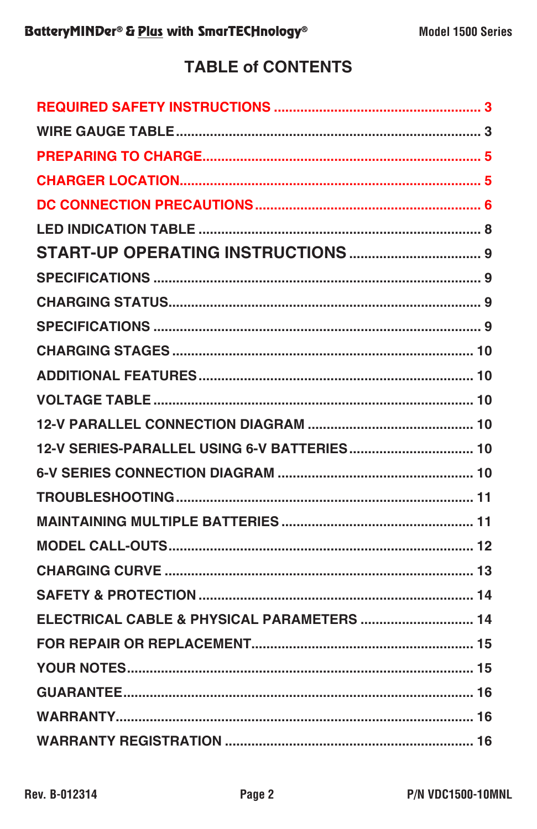# **TABLE of CONTENTS**

| ELECTRICAL CABLE & PHYSICAL PARAMETERS  14 |
|--------------------------------------------|
|                                            |
|                                            |
|                                            |
|                                            |
|                                            |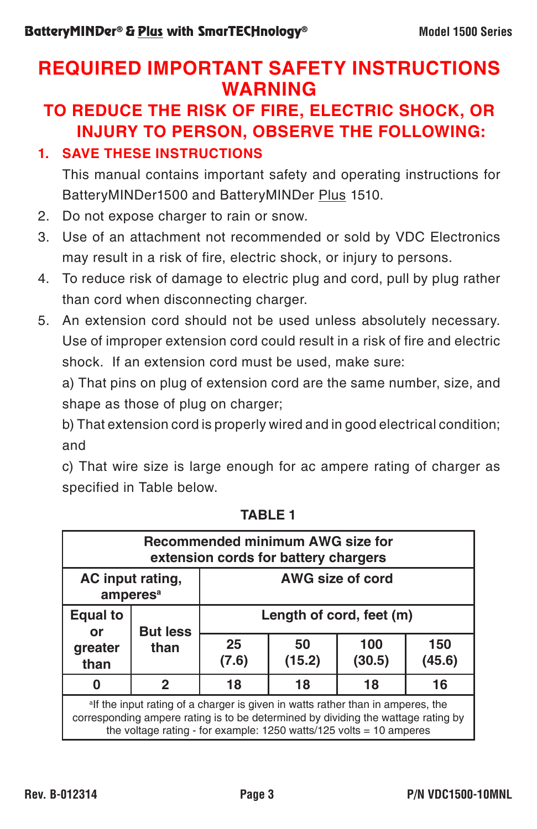# **REQUIRED IMPORTANT SAFETY INSTRUCTIONS WARNING**

# **TO REDUCE THE RISK OF FIRE, ELECTRIC SHOCK, OR INJURY TO PERSON, OBSERVE THE FOLLOWING:**

## **1. SAVE THESE INSTRUCTIONS**

This manual contains important safety and operating instructions for BatteryMINDer1500 and BatteryMINDer Plus 1510.

- 2. Do not expose charger to rain or snow.
- 3. Use of an attachment not recommended or sold by VDC Electronics may result in a risk of fire, electric shock, or injury to persons.
- 4. To reduce risk of damage to electric plug and cord, pull by plug rather than cord when disconnecting charger.
- 5. An extension cord should not be used unless absolutely necessary. Use of improper extension cord could result in a risk of fire and electric shock. If an extension cord must be used, make sure:

a) That pins on plug of extension cord are the same number, size, and shape as those of plug on charger;

b) That extension cord is properly wired and in good electrical condition; and

c) That wire size is large enough for ac ampere rating of charger as specified in Table below.

| Recommended minimum AWG size for<br>extension cords for battery chargers                                                                                                                                                                                     |                 |                          |              |               |               |
|--------------------------------------------------------------------------------------------------------------------------------------------------------------------------------------------------------------------------------------------------------------|-----------------|--------------------------|--------------|---------------|---------------|
| AC input rating,<br>amperes <sup>a</sup>                                                                                                                                                                                                                     |                 | <b>AWG size of cord</b>  |              |               |               |
| <b>Equal to</b><br>or<br>greater<br>than                                                                                                                                                                                                                     | <b>But less</b> | Length of cord, feet (m) |              |               |               |
|                                                                                                                                                                                                                                                              | than            | 25<br>(7.6)              | 50<br>(15.2) | 100<br>(30.5) | 150<br>(45.6) |
| O                                                                                                                                                                                                                                                            | 2               | 18                       | 18           | 18            | 16            |
| <sup>a</sup> lf the input rating of a charger is given in watts rather than in amperes, the<br>corresponding ampere rating is to be determined by dividing the wattage rating by<br>the voltage rating - for example: $1250$ watts/ $125$ volts = 10 amperes |                 |                          |              |               |               |

**TABLE 1**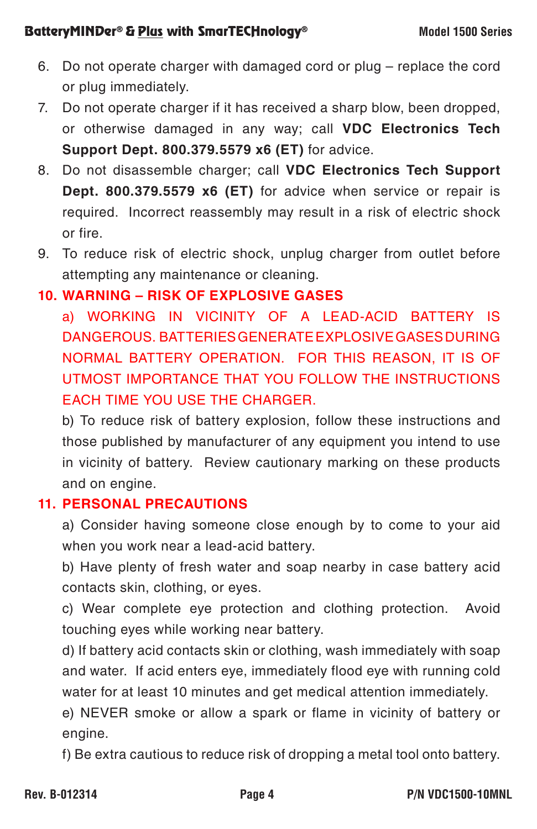#### **BatteryMINDer® & Plus with SmarTECHnology®** Model 1500 Series

- 6. Do not operate charger with damaged cord or plug replace the cord or plug immediately.
- 7. Do not operate charger if it has received a sharp blow, been dropped, or otherwise damaged in any way; call **VDC Electronics Tech Support Dept. 800.379.5579 x6 (ET)** for advice.
- 8. Do not disassemble charger; call **VDC Electronics Tech Support Dept. 800.379.5579 x6 (ET)** for advice when service or repair is required. Incorrect reassembly may result in a risk of electric shock or fire.
- 9. To reduce risk of electric shock, unplug charger from outlet before attempting any maintenance or cleaning.

## **10. WARNING – RISK OF EXPLOSIVE GASES**

a) WORKING IN VICINITY OF A LEAD-ACID BATTERY IS DANGEROUS. BATTERIES GENERATE EXPLOSIVE GASES DURING NORMAL BATTERY OPERATION. FOR THIS REASON, IT IS OF UTMOST IMPORTANCE THAT YOU FOLLOW THE INSTRUCTIONS EACH TIME YOU USE THE CHARGER.

b) To reduce risk of battery explosion, follow these instructions and those published by manufacturer of any equipment you intend to use in vicinity of battery. Review cautionary marking on these products and on engine.

### **11. PERSONAL PRECAUTIONS**

a) Consider having someone close enough by to come to your aid when you work near a lead-acid battery.

b) Have plenty of fresh water and soap nearby in case battery acid contacts skin, clothing, or eyes.

c) Wear complete eye protection and clothing protection. Avoid touching eyes while working near battery.

d) If battery acid contacts skin or clothing, wash immediately with soap and water. If acid enters eye, immediately flood eye with running cold water for at least 10 minutes and get medical attention immediately.

e) NEVER smoke or allow a spark or flame in vicinity of battery or engine.

f) Be extra cautious to reduce risk of dropping a metal tool onto battery.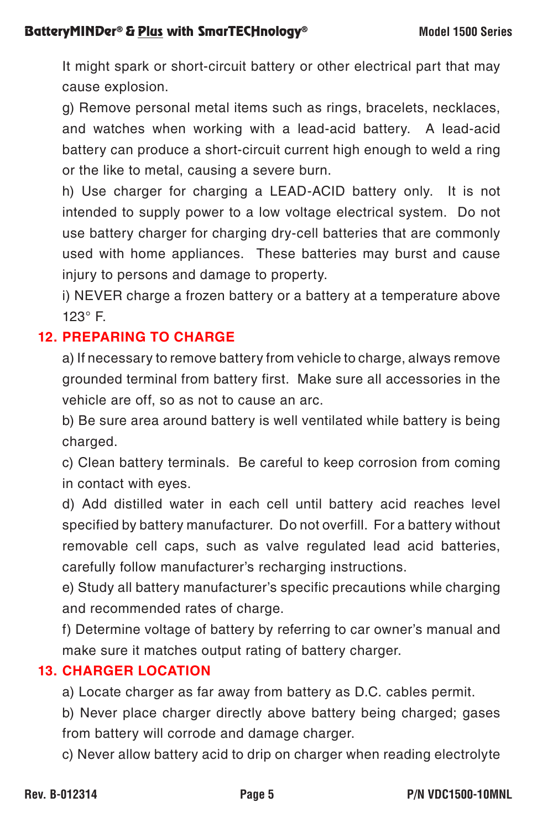It might spark or short-circuit battery or other electrical part that may cause explosion.

g) Remove personal metal items such as rings, bracelets, necklaces, and watches when working with a lead-acid battery. A lead-acid battery can produce a short-circuit current high enough to weld a ring or the like to metal, causing a severe burn.

h) Use charger for charging a LEAD-ACID battery only. It is not intended to supply power to a low voltage electrical system. Do not use battery charger for charging dry-cell batteries that are commonly used with home appliances. These batteries may burst and cause injury to persons and damage to property.

i) NEVER charge a frozen battery or a battery at a temperature above 123° F.

# **12. PREPARING TO CHARGE**

a) If necessary to remove battery from vehicle to charge, always remove grounded terminal from battery first. Make sure all accessories in the vehicle are off, so as not to cause an arc.

b) Be sure area around battery is well ventilated while battery is being charged.

c) Clean battery terminals. Be careful to keep corrosion from coming in contact with eyes.

d) Add distilled water in each cell until battery acid reaches level specified by battery manufacturer. Do not overfill. For a battery without removable cell caps, such as valve regulated lead acid batteries, carefully follow manufacturer's recharging instructions.

e) Study all battery manufacturer's specific precautions while charging and recommended rates of charge.

f) Determine voltage of battery by referring to car owner's manual and make sure it matches output rating of battery charger.

#### **13. CHARGER LOCATION**

a) Locate charger as far away from battery as D.C. cables permit.

b) Never place charger directly above battery being charged; gases from battery will corrode and damage charger.

c) Never allow battery acid to drip on charger when reading electrolyte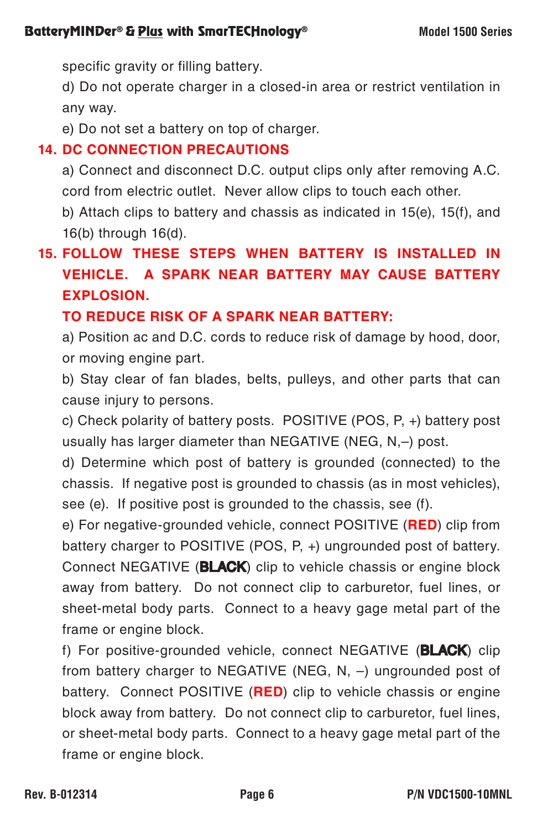specific gravity or filling battery.

d) Do not operate charger in a closed-in area or restrict ventilation in any way.

e) Do not set a battery on top of charger.

## **14. DC CONNECTION PRECAUTIONS**

a) Connect and disconnect D.C. output clips only after removing A.C. cord from electric outlet. Never allow clips to touch each other.

b) Attach clips to battery and chassis as indicated in 15(e), 15(f), and 16(b) through 16(d).

# **15. FOLLOW THESE STEPS WHEN BATTERY IS INSTALLED IN VEHICLE. A SPARK NEAR BATTERY MAY CAUSE BATTERY EXPLOSION.**

# **TO REDUCE RISK OF A SPARK NEAR BATTERY:**

a) Position ac and D.C. cords to reduce risk of damage by hood, door, or moving engine part.

b) Stay clear of fan blades, belts, pulleys, and other parts that can cause injury to persons.

c) Check polarity of battery posts. POSITIVE (POS, P, +) battery post usually has larger diameter than NEGATIVE (NEG, N,–) post.

d) Determine which post of battery is grounded (connected) to the chassis. If negative post is grounded to chassis (as in most vehicles), see (e). If positive post is grounded to the chassis, see (f).

e) For negative-grounded vehicle, connect POSITIVE (**RED**) clip from battery charger to POSITIVE (POS, P, +) ungrounded post of battery. Connect NEGATIVE (BLACK) clip to vehicle chassis or engine block away from battery. Do not connect clip to carburetor, fuel lines, or sheet-metal body parts. Connect to a heavy gage metal part of the frame or engine block.

f) For positive-grounded vehicle, connect NEGATIVE (**BLACK**) clip from battery charger to NEGATIVE (NEG, N, –) ungrounded post of battery. Connect POSITIVE (**RED**) clip to vehicle chassis or engine block away from battery. Do not connect clip to carburetor, fuel lines, or sheet-metal body parts. Connect to a heavy gage metal part of the frame or engine block.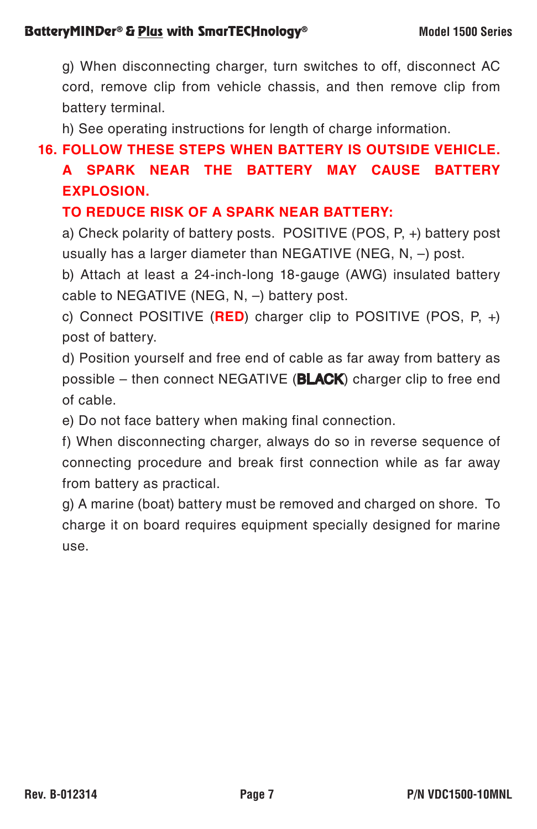g) When disconnecting charger, turn switches to off, disconnect AC cord, remove clip from vehicle chassis, and then remove clip from battery terminal.

h) See operating instructions for length of charge information.

**16. FOLLOW THESE STEPS WHEN BATTERY IS OUTSIDE VEHICLE.** 

# **A SPARK NEAR THE BATTERY MAY CAUSE BATTERY EXPLOSION.**

## **TO REDUCE RISK OF A SPARK NEAR BATTERY:**

a) Check polarity of battery posts. POSITIVE (POS, P, +) battery post usually has a larger diameter than NEGATIVE (NEG, N, –) post.

b) Attach at least a 24-inch-long 18-gauge (AWG) insulated battery cable to NEGATIVE (NEG, N, –) battery post.

c) Connect POSITIVE (**RED**) charger clip to POSITIVE (POS, P, +) post of battery.

d) Position yourself and free end of cable as far away from battery as possible – then connect NEGATIVE ( $BLACK$ ) charger clip to free end of cable.

e) Do not face battery when making final connection.

f) When disconnecting charger, always do so in reverse sequence of connecting procedure and break first connection while as far away from battery as practical.

g) A marine (boat) battery must be removed and charged on shore. To charge it on board requires equipment specially designed for marine use.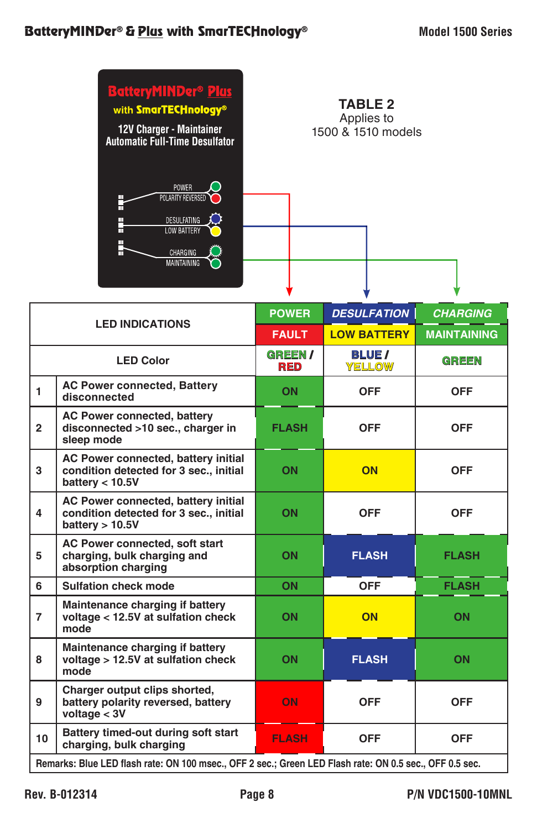

| <b>LED INDICATIONS</b>                                                                                  |                                                                                                    | <b>POWER</b>                | <b>DESULFATION</b>           | <b>CHARGING</b>    |
|---------------------------------------------------------------------------------------------------------|----------------------------------------------------------------------------------------------------|-----------------------------|------------------------------|--------------------|
|                                                                                                         |                                                                                                    | <b>FAULT</b>                | <b>LOW BATTERY</b>           | <b>MAINTAINING</b> |
| <b>LED Color</b>                                                                                        |                                                                                                    | <b>GREEN/</b><br><b>RED</b> | <b>BLUE</b><br><b>YELLOW</b> | <b>GREEN</b>       |
| 1                                                                                                       | <b>AC Power connected, Battery</b><br>disconnected                                                 | ON                          | <b>OFF</b>                   | <b>OFF</b>         |
| $\overline{2}$                                                                                          | <b>AC Power connected, battery</b><br>disconnected >10 sec., charger in<br>sleep mode              | <b>FLASH</b>                | <b>OFF</b>                   | <b>OFF</b>         |
| 3                                                                                                       | AC Power connected, battery initial<br>condition detected for 3 sec., initial<br>battery $<$ 10.5V | ON                          | ON                           | <b>OFF</b>         |
| 4                                                                                                       | AC Power connected, battery initial<br>condition detected for 3 sec., initial<br>battery $> 10.5V$ | ON                          | <b>OFF</b>                   | <b>OFF</b>         |
| 5                                                                                                       | AC Power connected, soft start<br>charging, bulk charging and<br>absorption charging               | ON                          | <b>FLASH</b>                 | <b>FLASH</b>       |
| 6                                                                                                       | Sulfation check mode                                                                               | ON                          | <b>OFF</b>                   | <b>FLASH</b>       |
| $\overline{7}$                                                                                          | Maintenance charging if battery<br>voltage < 12.5V at sulfation check<br>mode                      | <b>ON</b>                   | ON                           | ON                 |
| 8                                                                                                       | Maintenance charging if battery<br>voltage > 12.5V at sulfation check<br>mode                      | ON                          | <b>FLASH</b>                 | ON                 |
| 9                                                                                                       | Charger output clips shorted,<br>battery polarity reversed, battery<br>voltage $<$ 3V              | ON                          | <b>OFF</b>                   | <b>OFF</b>         |
| 10                                                                                                      | Battery timed-out during soft start<br>charging, bulk charging                                     | <b>FLASH</b>                | <b>OFF</b>                   | <b>OFF</b>         |
| Remarks: Blue LED flash rate: ON 100 msec., OFF 2 sec.; Green LED Flash rate: ON 0.5 sec., OFF 0.5 sec. |                                                                                                    |                             |                              |                    |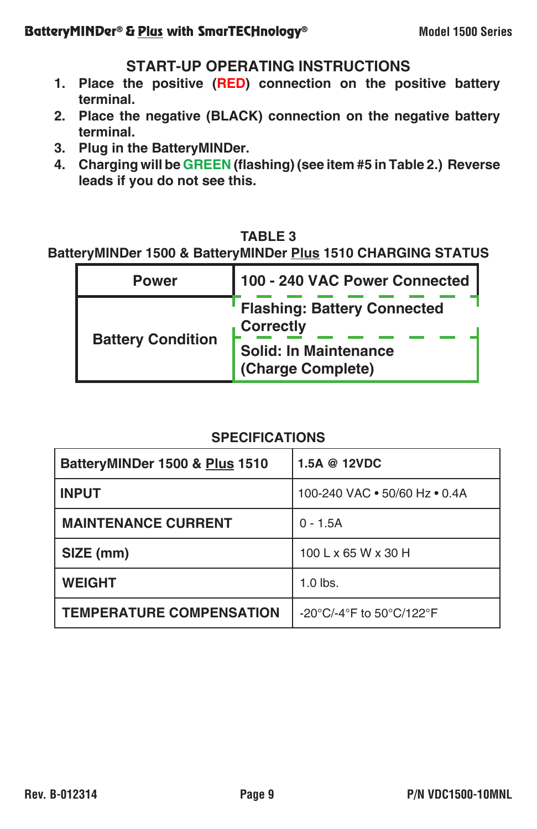#### **START-UP OPERATING INSTRUCTIONS**

- **1. Place the positive (RED) connection on the positive battery terminal.**
- **2. Place the negative (BLACK) connection on the negative battery terminal.**
- **3. Plug in the BatteryMINDer.**
- **4. Charging will be GREEN (flashing) (see item #5 in Table 2.) Reverse leads if you do not see this.**

# **TABLE 3**

**BatteryMINDer 1500 & BatteryMINDer Plus 1510 CHARGING STATUS**

| <b>Power</b>             | 100 - 240 VAC Power Connected                          |  |
|--------------------------|--------------------------------------------------------|--|
| <b>Battery Condition</b> | <b>Flashing: Battery Connected</b><br><b>Correctly</b> |  |
|                          | <b>Solid: In Maintenance</b><br>(Charge Complete)      |  |

#### **SPECIFICATIONS**

| BatteryMINDer 1500 & Plus 1510  | 1.5A @ 12VDC                                                                                                       |
|---------------------------------|--------------------------------------------------------------------------------------------------------------------|
| <b>INPUT</b>                    | 100-240 VAC . 50/60 Hz . 0.4A                                                                                      |
| <b>MAINTENANCE CURRENT</b>      | $0 - 1.5A$                                                                                                         |
| SIZE (mm)                       | 100 L x 65 W x 30 H                                                                                                |
| <b>WEIGHT</b>                   | $1.0$ lbs.                                                                                                         |
| <b>TEMPERATURE COMPENSATION</b> | -20 $\mathrm{^{\circ}C}/\mathrm{-4} \mathrm{^{\circ}F}$ to 50 $\mathrm{^{\circ}C}/\mathrm{122} \mathrm{^{\circ}F}$ |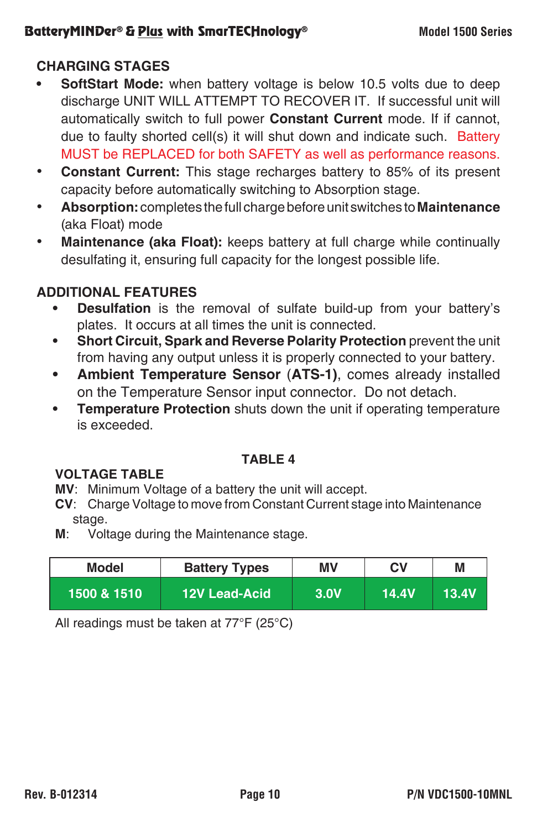#### **BatteryMINDer® & Plus with SmarTECHnology®** Model 1500 Series

### **CHARGING STAGES**

- **• SoftStart Mode:** when battery voltage is below 10.5 volts due to deep discharge UNIT WILL ATTEMPT TO RECOVER IT. If successful unit will automatically switch to full power **Constant Current** mode. If if cannot, due to faulty shorted cell(s) it will shut down and indicate such. Battery MUST be REPLACED for both SAFETY as well as performance reasons.
- **Constant Current:** This stage recharges battery to 85% of its present capacity before automatically switching to Absorption stage.
- **Absorption:** completes the full charge before unit switches to **Maintenance** (aka Float) mode
- **Maintenance (aka Float):** keeps battery at full charge while continually desulfating it, ensuring full capacity for the longest possible life.

#### **ADDITIONAL FEATURES**

- **• Desulfation** is the removal of sulfate build-up from your battery's plates. It occurs at all times the unit is connected.
- **• Short Circuit, Spark and Reverse Polarity Protection** prevent the unit from having any output unless it is properly connected to your battery.
- **• Ambient Temperature Sensor** (**ATS-1)**, comes already installed on the Temperature Sensor input connector. Do not detach.
- **• Temperature Protection** shuts down the unit if operating temperature is exceeded.

#### **TABLE 4**

#### **VOLTAGE TABLE**

- **MV**: Minimum Voltage of a battery the unit will accept.
- **CV**: Charge Voltage to move from Constant Current stage into Maintenance stage.
- **M**: Voltage during the Maintenance stage.

| Model       | <b>Battery Types</b> | ΜV          | СV    | M     |
|-------------|----------------------|-------------|-------|-------|
| 1500 & 1510 | <b>12V Lead-Acid</b> | <b>3.0V</b> | 14.4V | 13.4V |

All readings must be taken at 77°F (25°C)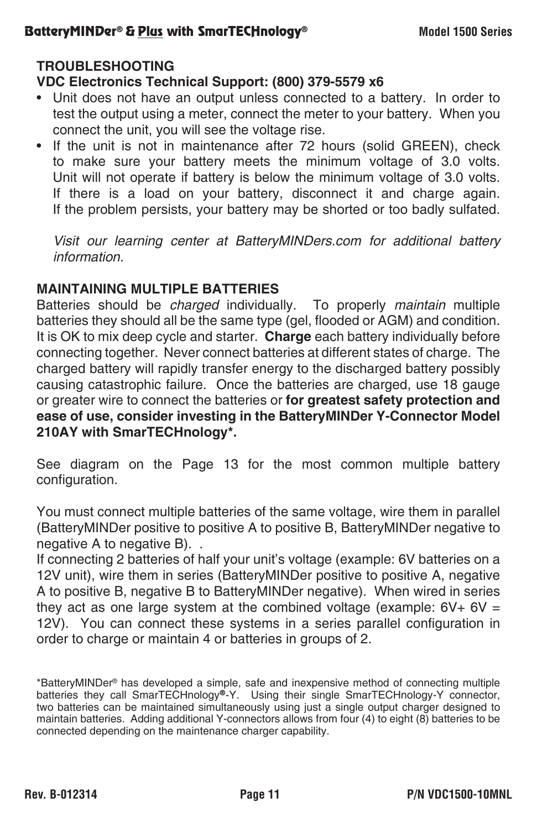#### **TROUBLESHOOTING**

#### **VDC Electronics Technical Support: (800) 379-5579 x6**

- Unit does not have an output unless connected to a battery. In order to test the output using a meter, connect the meter to your battery. When you connect the unit, you will see the voltage rise.
- If the unit is not in maintenance after 72 hours (solid GREEN), check to make sure your battery meets the minimum voltage of 3.0 volts. Unit will not operate if battery is below the minimum voltage of 3.0 volts. If there is a load on your battery, disconnect it and charge again. If the problem persists, your battery may be shorted or too badly sulfated.

*Visit our learning center at BatteryMINDers.com for additional battery information.*

#### **MAINTAINING MULTIPLE BATTERIES**

Batteries should be *charged* individually. To properly *maintain* multiple batteries they should all be the same type (gel, flooded or AGM) and condition. It is OK to mix deep cycle and starter. **Charge** each battery individually before connecting together. Never connect batteries at different states of charge. The charged battery will rapidly transfer energy to the discharged battery possibly causing catastrophic failure. Once the batteries are charged, use 18 gauge or greater wire to connect the batteries or **for greatest safety protection and ease of use, consider investing in the BatteryMINDer Y-Connector Model 210AY with SmarTECHnology\*.**

See diagram on the Page 13 for the most common multiple battery configuration.

You must connect multiple batteries of the same voltage, wire them in parallel (BatteryMINDer positive to positive A to positive B, BatteryMINDer negative to negative A to negative B). .

If connecting 2 batteries of half your unit's voltage (example: 6V batteries on a 12V unit), wire them in series (BatteryMINDer positive to positive A, negative A to positive B, negative B to BatteryMINDer negative). When wired in series they act as one large system at the combined voltage (example:  $6V + 6V =$ 12V). You can connect these systems in a series parallel configuration in order to charge or maintain 4 or batteries in groups of 2.

<sup>\*</sup>BatteryMINDer® has developed a simple, safe and inexpensive method of connecting multiple batteries they call SmarTECHnology®-Y. Using their single SmarTECHnology-Y connector, two batteries can be maintained simultaneously using just a single output charger designed to maintain batteries. Adding additional Y-connectors allows from four (4) to eight (8) batteries to be connected depending on the maintenance charger capability.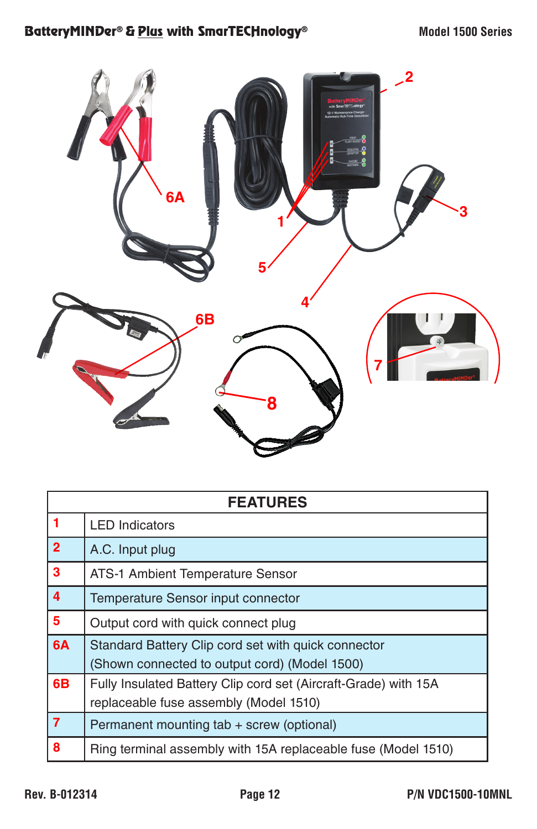

| <b>FEATURES</b> |                                                                 |  |
|-----------------|-----------------------------------------------------------------|--|
| $\overline{1}$  | <b>LED Indicators</b>                                           |  |
| $\overline{2}$  | A.C. Input plug                                                 |  |
| 3               | ATS-1 Ambient Temperature Sensor                                |  |
| $\overline{4}$  | Temperature Sensor input connector                              |  |
| 5               | Output cord with quick connect plug                             |  |
| 6A              | Standard Battery Clip cord set with quick connector             |  |
|                 | (Shown connected to output cord) (Model 1500)                   |  |
| 6B              | Fully Insulated Battery Clip cord set (Aircraft-Grade) with 15A |  |
|                 | replaceable fuse assembly (Model 1510)                          |  |
| $\overline{7}$  | Permanent mounting tab + screw (optional)                       |  |
| 8               | Ring terminal assembly with 15A replaceable fuse (Model 1510)   |  |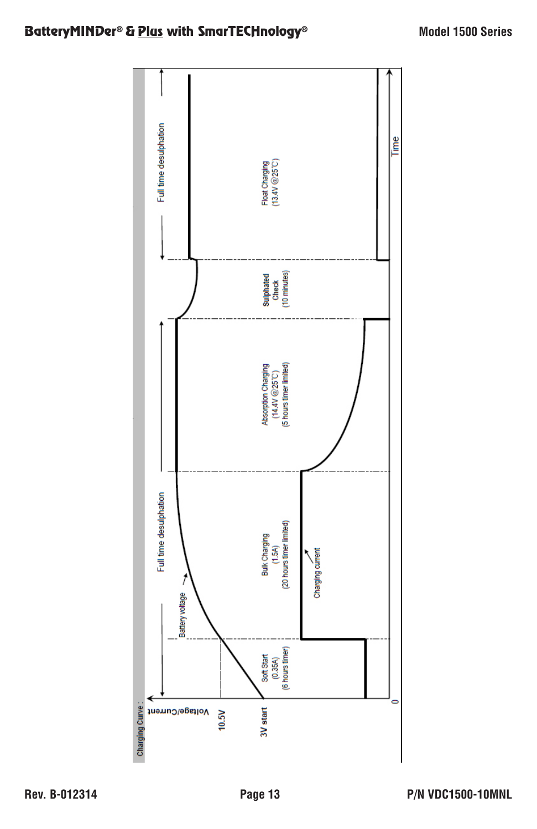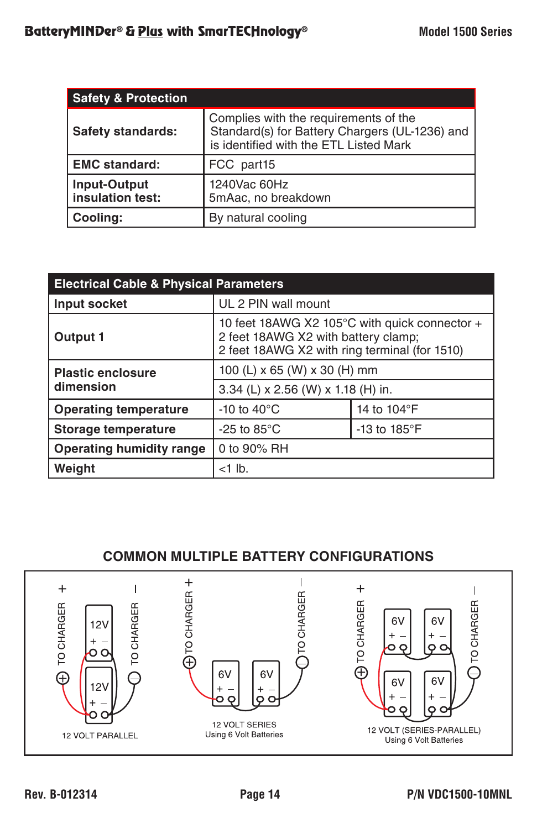| <b>Safety &amp; Protection</b>          |                                                                                                                                   |  |  |
|-----------------------------------------|-----------------------------------------------------------------------------------------------------------------------------------|--|--|
| <b>Safety standards:</b>                | Complies with the requirements of the<br>Standard(s) for Battery Chargers (UL-1236) and<br>is identified with the ETL Listed Mark |  |  |
| <b>EMC standard:</b>                    | FCC part15                                                                                                                        |  |  |
| <b>Input-Output</b><br>insulation test: | 1240Vac 60Hz<br>5mAac, no breakdown                                                                                               |  |  |
| Cooling:                                | By natural cooling                                                                                                                |  |  |

| <b>Electrical Cable &amp; Physical Parameters</b> |                                                                                                                                       |                      |  |  |
|---------------------------------------------------|---------------------------------------------------------------------------------------------------------------------------------------|----------------------|--|--|
| Input socket                                      | UL 2 PIN wall mount                                                                                                                   |                      |  |  |
| Output 1                                          | 10 feet 18AWG X2 105°C with quick connector +<br>2 feet 18AWG X2 with battery clamp;<br>2 feet 18AWG X2 with ring terminal (for 1510) |                      |  |  |
| <b>Plastic enclosure</b>                          | 100 (L) x 65 (W) x 30 (H) mm                                                                                                          |                      |  |  |
| dimension                                         | 3.34 (L) x 2.56 (W) x 1.18 (H) in.                                                                                                    |                      |  |  |
| <b>Operating temperature</b>                      | -10 to 40 $\mathrm{^{\circ}C}$                                                                                                        | 14 to 104°F          |  |  |
| Storage temperature                               | -25 to $85^{\circ}$ C                                                                                                                 | -13 to $185^\circ$ F |  |  |
| <b>Operating humidity range</b><br>0 to 90% RH    |                                                                                                                                       |                      |  |  |
| Weight                                            | $<$ 1 lb.                                                                                                                             |                      |  |  |

# **COMMON MULTIPLE BATTERY CONFIGURATIONS**

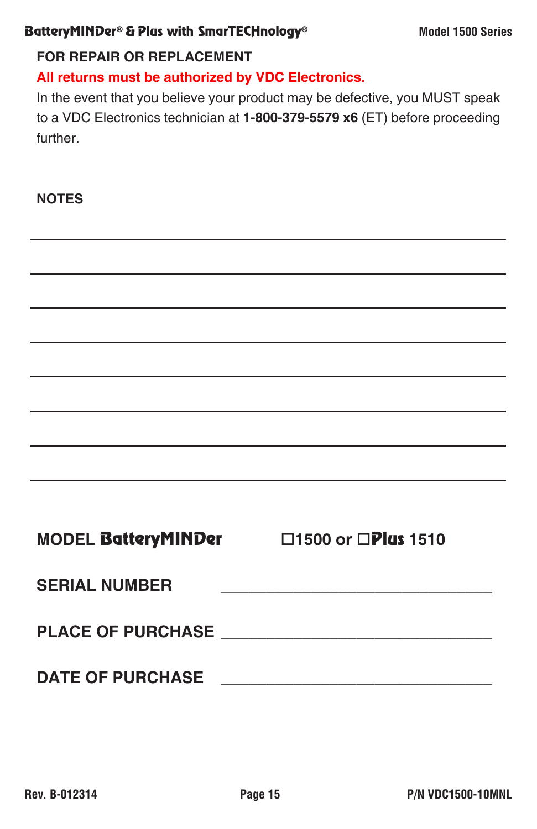#### BatteryMINDer® & Plus with SmarTECHnology® Model 1500 Series

#### **FOR REPAIR OR REPLACEMENT**

**All returns must be authorized by VDC Electronics.**

In the event that you believe your product may be defective, you MUST speak to a VDC Electronics technician at **1-800-379-5579 x6** (ET) before proceeding further.

**NOTES**

|                      | and the control of the control of the control of the control of the control of the control of the control of the                                                                                                              |
|----------------------|-------------------------------------------------------------------------------------------------------------------------------------------------------------------------------------------------------------------------------|
|                      | the control of the control of the control of the control of the control of the control of the control of the control of the control of the control of the control of the control of the control of the control of the control |
|                      |                                                                                                                                                                                                                               |
|                      |                                                                                                                                                                                                                               |
|                      |                                                                                                                                                                                                                               |
|                      | MODEL BatteryMINDer 1500 or DPlus 1510                                                                                                                                                                                        |
| <b>SERIAL NUMBER</b> |                                                                                                                                                                                                                               |
|                      |                                                                                                                                                                                                                               |
|                      |                                                                                                                                                                                                                               |